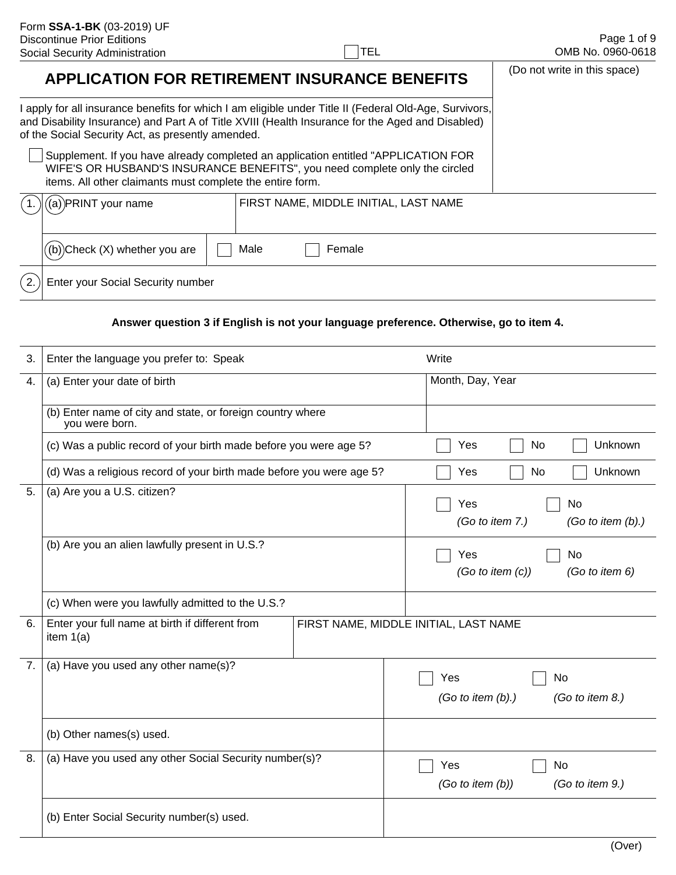|    | <b>APPLICATION FOR RETIREMENT INSURANCE BENEFITS</b>      | (Do not write in this space)                                                                                                                                                                               |                  |
|----|-----------------------------------------------------------|------------------------------------------------------------------------------------------------------------------------------------------------------------------------------------------------------------|------------------|
|    | of the Social Security Act, as presently amended.         | I apply for all insurance benefits for which I am eligible under Title II (Federal Old-Age, Survivors,<br>and Disability Insurance) and Part A of Title XVIII (Health Insurance for the Aged and Disabled) |                  |
|    | items. All other claimants must complete the entire form. | Supplement. If you have already completed an application entitled "APPLICATION FOR<br>WIFE'S OR HUSBAND'S INSURANCE BENEFITS", you need complete only the circled                                          |                  |
|    | (a))PRINT your name                                       | FIRST NAME, MIDDLE INITIAL, LAST NAME                                                                                                                                                                      |                  |
|    | $(b)$ Check $(X)$ whether you are                         | Male<br>Female                                                                                                                                                                                             |                  |
| 2. | Enter your Social Security number                         |                                                                                                                                                                                                            |                  |
|    |                                                           | Answer question 3 if English is not your language preference. Otherwise, go to item 4.                                                                                                                     |                  |
| 3. | Enter the language you prefer to: Speak                   |                                                                                                                                                                                                            |                  |
| 4  | $(a)$ Enter vour date of hirth                            |                                                                                                                                                                                                            | Month, Day, Year |

| 4. | (a) Enter your date of birth                                                 |  | Month, Day, Year                                     |
|----|------------------------------------------------------------------------------|--|------------------------------------------------------|
|    | (b) Enter name of city and state, or foreign country where<br>you were born. |  |                                                      |
|    | (c) Was a public record of your birth made before you were age 5?            |  | Unknown<br>Yes<br>No                                 |
|    | (d) Was a religious record of your birth made before you were age 5?         |  | Unknown<br>Yes<br>No                                 |
| 5. | (a) Are you a U.S. citizen?                                                  |  | Yes<br>No<br>(Go to item 7.)<br>(Go to item $(b)$ .) |
|    | (b) Are you an alien lawfully present in U.S.?                               |  | No<br>Yes<br>(Go to item $(c)$ )<br>(Go to item 6)   |
|    | (c) When were you lawfully admitted to the U.S.?                             |  |                                                      |
| 6. | Enter your full name at birth if different from<br>item $1(a)$               |  | FIRST NAME, MIDDLE INITIAL, LAST NAME                |
| 7. | (a) Have you used any other name(s)?                                         |  | Yes<br>No<br>(Go to item (b))<br>(Go to item 8.)     |
|    | (b) Other names(s) used.                                                     |  |                                                      |
| 8. | (a) Have you used any other Social Security number(s)?                       |  | Yes<br>No<br>(Go to item $(b)$ )<br>(Go to item 9.)  |
|    | (b) Enter Social Security number(s) used.                                    |  |                                                      |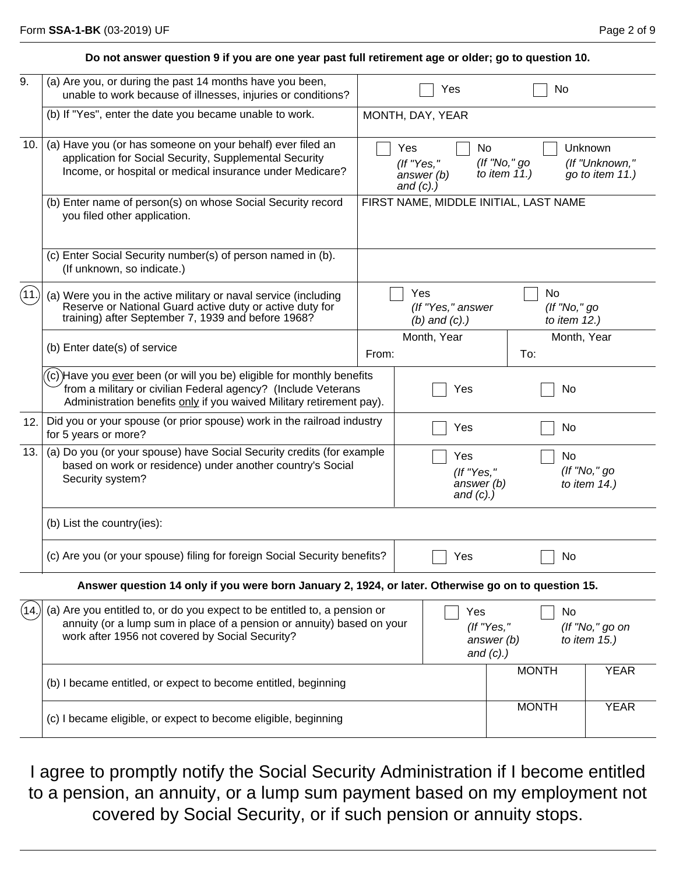| 9.   | (a) Are you, or during the past 14 months have you been,<br>unable to work because of illnesses, injuries or conditions?                                                                                              | Yes                                             | No                                                                                      |
|------|-----------------------------------------------------------------------------------------------------------------------------------------------------------------------------------------------------------------------|-------------------------------------------------|-----------------------------------------------------------------------------------------|
|      | (b) If "Yes", enter the date you became unable to work.                                                                                                                                                               | MONTH, DAY, YEAR                                |                                                                                         |
| 10.  | (a) Have you (or has someone on your behalf) ever filed an<br>application for Social Security, Supplemental Security<br>Income, or hospital or medical insurance under Medicare?                                      | Yes<br>(If "Yes,"<br>answer (b)<br>and $(c)$ .) | Unknown<br>No<br>$($ f "No," go<br>(If "Unknown,"<br>to item $11.$ )<br>go to item 11.) |
|      | (b) Enter name of person(s) on whose Social Security record<br>you filed other application.                                                                                                                           | FIRST NAME, MIDDLE INITIAL, LAST NAME           |                                                                                         |
|      | (c) Enter Social Security number(s) of person named in (b).<br>(If unknown, so indicate.)                                                                                                                             |                                                 |                                                                                         |
| (11) | (a) Were you in the active military or naval service (including<br>Reserve or National Guard active duty or active duty for<br>training) after September 7, 1939 and before 1968?                                     | Yes<br>(If "Yes," answer<br>$(b)$ and $(c)$ .)  | No<br>$($ f "No," go<br>to item $12.$ )                                                 |
|      | (b) Enter date(s) of service                                                                                                                                                                                          | Month, Year<br>From:                            | Month, Year<br>To:                                                                      |
|      | (c) Have you <u>ever</u> been (or will you be) eligible for monthly benefits<br>from a military or civilian Federal agency? (Include Veterans<br>Administration benefits only if you waived Military retirement pay). | Yes                                             | No                                                                                      |
| 12.  | Did you or your spouse (or prior spouse) work in the railroad industry<br>for 5 years or more?                                                                                                                        | Yes                                             | No                                                                                      |
| 13.  | (a) Do you (or your spouse) have Social Security credits (for example<br>based on work or residence) under another country's Social<br>Security system?                                                               | Yes<br>(If "Yes,"<br>answer (b)<br>and $(c)$ .) | <b>No</b><br>$($ If "No," go<br>to item $14.$ )                                         |
|      | (b) List the country(ies):                                                                                                                                                                                            |                                                 |                                                                                         |
|      | (c) Are you (or your spouse) filing for foreign Social Security benefits?                                                                                                                                             | Yes                                             | No                                                                                      |
|      | Answer question 14 only if you were born January 2, 1924, or later. Otherwise go on to question 15.                                                                                                                   |                                                 |                                                                                         |
|      | (a) Are you entitled to, or do you expect to be entitled to, a pension or<br>annuity (or a lump sum in place of a pension or annuity) based on your<br>work after 1956 not covered by Social Security?                | Yes                                             | No<br>(If "Yes,"<br>(If "No," go on<br>to item $15.$ )<br>answer (b)<br>and $(c)$ .)    |
|      | (b) I became entitled, or expect to become entitled, beginning                                                                                                                                                        |                                                 | <b>MONTH</b><br><b>YEAR</b>                                                             |
|      | (c) I became eligible, or expect to become eligible, beginning                                                                                                                                                        |                                                 | <b>MONTH</b><br><b>YEAR</b>                                                             |
|      |                                                                                                                                                                                                                       |                                                 |                                                                                         |

I agree to promptly notify the Social Security Administration if I become entitled to a pension, an annuity, or a lump sum payment based on my employment not covered by Social Security, or if such pension or annuity stops.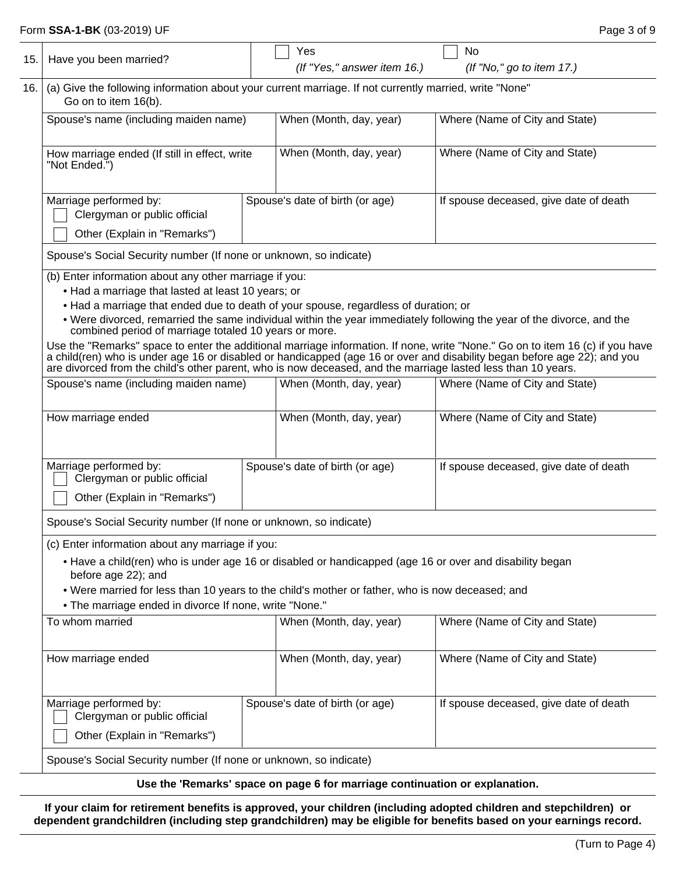|  |  |  | Form <b>SSA-1-BK</b> (03-2019) UF |  |
|--|--|--|-----------------------------------|--|
|--|--|--|-----------------------------------|--|

| 15.                                                                                                                                                       | Have you been married?                                                                                                                    |  | Yes<br>(If "Yes," answer item 16.)                                          | No                                                                                                                                                                                                                                                                                                                                                              |  |  |  |
|-----------------------------------------------------------------------------------------------------------------------------------------------------------|-------------------------------------------------------------------------------------------------------------------------------------------|--|-----------------------------------------------------------------------------|-----------------------------------------------------------------------------------------------------------------------------------------------------------------------------------------------------------------------------------------------------------------------------------------------------------------------------------------------------------------|--|--|--|
|                                                                                                                                                           |                                                                                                                                           |  |                                                                             | (If "No," go to item $17$ .)                                                                                                                                                                                                                                                                                                                                    |  |  |  |
| 16.                                                                                                                                                       | (a) Give the following information about your current marriage. If not currently married, write "None"<br>Go on to item 16(b).            |  |                                                                             |                                                                                                                                                                                                                                                                                                                                                                 |  |  |  |
|                                                                                                                                                           | Spouse's name (including maiden name)                                                                                                     |  | When (Month, day, year)                                                     | Where (Name of City and State)                                                                                                                                                                                                                                                                                                                                  |  |  |  |
|                                                                                                                                                           | How marriage ended (If still in effect, write                                                                                             |  | When (Month, day, year)                                                     | Where (Name of City and State)                                                                                                                                                                                                                                                                                                                                  |  |  |  |
|                                                                                                                                                           | "Not Ended.")                                                                                                                             |  |                                                                             |                                                                                                                                                                                                                                                                                                                                                                 |  |  |  |
|                                                                                                                                                           |                                                                                                                                           |  |                                                                             |                                                                                                                                                                                                                                                                                                                                                                 |  |  |  |
|                                                                                                                                                           | Marriage performed by:<br>Clergyman or public official                                                                                    |  | Spouse's date of birth (or age)                                             | If spouse deceased, give date of death                                                                                                                                                                                                                                                                                                                          |  |  |  |
|                                                                                                                                                           | Other (Explain in "Remarks")                                                                                                              |  |                                                                             |                                                                                                                                                                                                                                                                                                                                                                 |  |  |  |
|                                                                                                                                                           | Spouse's Social Security number (If none or unknown, so indicate)                                                                         |  |                                                                             |                                                                                                                                                                                                                                                                                                                                                                 |  |  |  |
|                                                                                                                                                           | (b) Enter information about any other marriage if you:                                                                                    |  |                                                                             |                                                                                                                                                                                                                                                                                                                                                                 |  |  |  |
|                                                                                                                                                           | • Had a marriage that lasted at least 10 years; or<br>• Had a marriage that ended due to death of your spouse, regardless of duration; or |  |                                                                             |                                                                                                                                                                                                                                                                                                                                                                 |  |  |  |
|                                                                                                                                                           | combined period of marriage totaled 10 years or more.                                                                                     |  |                                                                             | . Were divorced, remarried the same individual within the year immediately following the year of the divorce, and the                                                                                                                                                                                                                                           |  |  |  |
|                                                                                                                                                           |                                                                                                                                           |  |                                                                             | Use the "Remarks" space to enter the additional marriage information. If none, write "None." Go on to item 16 (c) if you have<br>a child(ren) who is under age 16 or disabled or handicapped (age 16 or over and disability began before age 22); and you are divorced from the child's other parent, who is now deceased, and the marriage lasted less than 10 |  |  |  |
|                                                                                                                                                           | Spouse's name (including maiden name)                                                                                                     |  | When (Month, day, year)                                                     | Where (Name of City and State)                                                                                                                                                                                                                                                                                                                                  |  |  |  |
|                                                                                                                                                           | How marriage ended                                                                                                                        |  | When (Month, day, year)                                                     | Where (Name of City and State)                                                                                                                                                                                                                                                                                                                                  |  |  |  |
|                                                                                                                                                           | Marriage performed by:<br>Clergyman or public official<br>Other (Explain in "Remarks")                                                    |  | Spouse's date of birth (or age)                                             | If spouse deceased, give date of death                                                                                                                                                                                                                                                                                                                          |  |  |  |
| Spouse's Social Security number (If none or unknown, so indicate)                                                                                         |                                                                                                                                           |  |                                                                             |                                                                                                                                                                                                                                                                                                                                                                 |  |  |  |
|                                                                                                                                                           | (c) Enter information about any marriage if you:                                                                                          |  |                                                                             |                                                                                                                                                                                                                                                                                                                                                                 |  |  |  |
|                                                                                                                                                           | • Have a child(ren) who is under age 16 or disabled or handicapped (age 16 or over and disability began                                   |  |                                                                             |                                                                                                                                                                                                                                                                                                                                                                 |  |  |  |
|                                                                                                                                                           | before age 22); and                                                                                                                       |  |                                                                             |                                                                                                                                                                                                                                                                                                                                                                 |  |  |  |
| . Were married for less than 10 years to the child's mother or father, who is now deceased; and<br>• The marriage ended in divorce If none, write "None." |                                                                                                                                           |  |                                                                             |                                                                                                                                                                                                                                                                                                                                                                 |  |  |  |
|                                                                                                                                                           | To whom married                                                                                                                           |  | When (Month, day, year)                                                     | Where (Name of City and State)                                                                                                                                                                                                                                                                                                                                  |  |  |  |
|                                                                                                                                                           |                                                                                                                                           |  |                                                                             |                                                                                                                                                                                                                                                                                                                                                                 |  |  |  |
|                                                                                                                                                           | How marriage ended                                                                                                                        |  | When (Month, day, year)                                                     | Where (Name of City and State)                                                                                                                                                                                                                                                                                                                                  |  |  |  |
|                                                                                                                                                           | Marriage performed by:<br>Clergyman or public official                                                                                    |  | Spouse's date of birth (or age)                                             | If spouse deceased, give date of death                                                                                                                                                                                                                                                                                                                          |  |  |  |
|                                                                                                                                                           | Other (Explain in "Remarks")                                                                                                              |  |                                                                             |                                                                                                                                                                                                                                                                                                                                                                 |  |  |  |
|                                                                                                                                                           | Spouse's Social Security number (If none or unknown, so indicate)                                                                         |  |                                                                             |                                                                                                                                                                                                                                                                                                                                                                 |  |  |  |
|                                                                                                                                                           |                                                                                                                                           |  | Use the 'Remarks' space on page 6 for marriage continuation or explanation. |                                                                                                                                                                                                                                                                                                                                                                 |  |  |  |
|                                                                                                                                                           |                                                                                                                                           |  |                                                                             |                                                                                                                                                                                                                                                                                                                                                                 |  |  |  |

**If your claim for retirement benefits is approved, your children (including adopted children and stepchildren) or dependent grandchildren (including step grandchildren) may be eligible for benefits based on your earnings record.**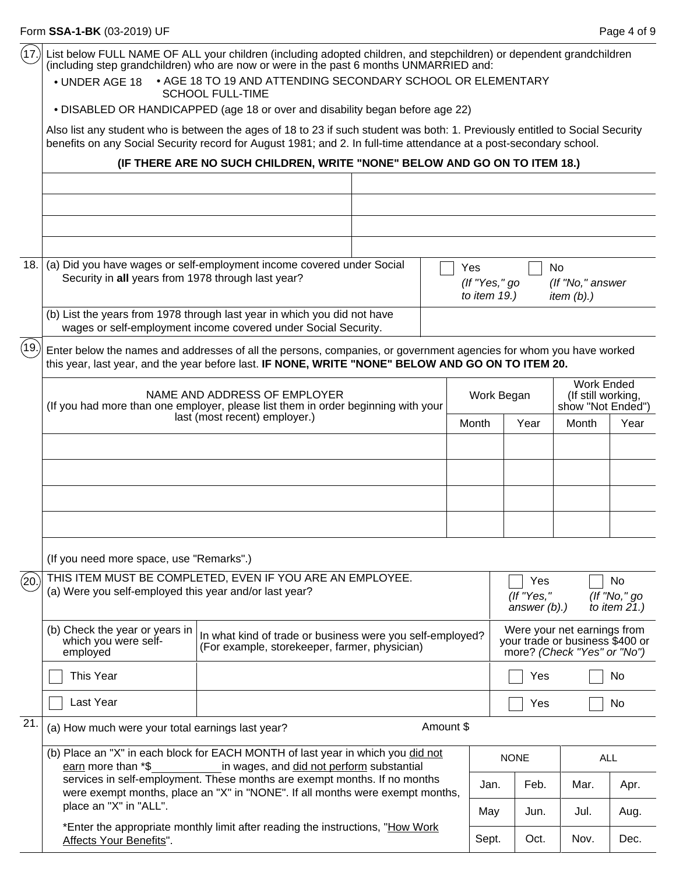|  |  |  | Form SSA-1-BK (03-2019) UF |  |
|--|--|--|----------------------------|--|
|--|--|--|----------------------------|--|

| (17)                                                                                                              | • UNDER AGE 18                                                     | List below FULL NAME OF ALL your children (including adopted children, and stepchildren) or dependent grandchildren<br>(including step grandchildren) who are now or were in the past 6 months UNMARRIED and:<br>• AGE 18 TO 19 AND ATTENDING SECONDARY SCHOOL OR ELEMENTARY<br><b>SCHOOL FULL-TIME</b> |  |           |                                  |                               |                                                                                               |                                   |  |
|-------------------------------------------------------------------------------------------------------------------|--------------------------------------------------------------------|---------------------------------------------------------------------------------------------------------------------------------------------------------------------------------------------------------------------------------------------------------------------------------------------------------|--|-----------|----------------------------------|-------------------------------|-----------------------------------------------------------------------------------------------|-----------------------------------|--|
|                                                                                                                   |                                                                    | . DISABLED OR HANDICAPPED (age 18 or over and disability began before age 22)                                                                                                                                                                                                                           |  |           |                                  |                               |                                                                                               |                                   |  |
|                                                                                                                   |                                                                    | Also list any student who is between the ages of 18 to 23 if such student was both: 1. Previously entitled to Social Security<br>benefits on any Social Security record for August 1981; and 2. In full-time attendance at a post-secondary school.                                                     |  |           |                                  |                               |                                                                                               |                                   |  |
|                                                                                                                   |                                                                    | (IF THERE ARE NO SUCH CHILDREN, WRITE "NONE" BELOW AND GO ON TO ITEM 18.)                                                                                                                                                                                                                               |  |           |                                  |                               |                                                                                               |                                   |  |
|                                                                                                                   |                                                                    |                                                                                                                                                                                                                                                                                                         |  |           |                                  |                               |                                                                                               |                                   |  |
|                                                                                                                   |                                                                    |                                                                                                                                                                                                                                                                                                         |  |           |                                  |                               |                                                                                               |                                   |  |
|                                                                                                                   |                                                                    |                                                                                                                                                                                                                                                                                                         |  |           |                                  |                               |                                                                                               |                                   |  |
|                                                                                                                   |                                                                    |                                                                                                                                                                                                                                                                                                         |  |           |                                  |                               |                                                                                               |                                   |  |
| 18.1                                                                                                              | Security in all years from 1978 through last year?                 | (a) Did you have wages or self-employment income covered under Social                                                                                                                                                                                                                                   |  | Yes       | (If "Yes," go<br>to item $19.$ ) | No.                           | (If "No," answer<br>item $(b)$ .)                                                             |                                   |  |
|                                                                                                                   |                                                                    | (b) List the years from 1978 through last year in which you did not have<br>wages or self-employment income covered under Social Security.                                                                                                                                                              |  |           |                                  |                               |                                                                                               |                                   |  |
| (19)                                                                                                              |                                                                    | Enter below the names and addresses of all the persons, companies, or government agencies for whom you have worked<br>this year, last year, and the year before last. IF NONE, WRITE "NONE" BELOW AND GO ON TO ITEM 20.                                                                                 |  |           |                                  |                               |                                                                                               |                                   |  |
| NAME AND ADDRESS OF EMPLOYER<br>(If you had more than one employer, please list them in order beginning with your |                                                                    |                                                                                                                                                                                                                                                                                                         |  |           |                                  | Work Began                    | <b>Work Ended</b><br>(If still working,<br>show "Not Ended")                                  |                                   |  |
|                                                                                                                   |                                                                    | last (most recent) employer.)                                                                                                                                                                                                                                                                           |  | Month     |                                  | Year                          | Month                                                                                         | Year                              |  |
|                                                                                                                   |                                                                    |                                                                                                                                                                                                                                                                                                         |  |           |                                  |                               |                                                                                               |                                   |  |
|                                                                                                                   |                                                                    |                                                                                                                                                                                                                                                                                                         |  |           |                                  |                               |                                                                                               |                                   |  |
|                                                                                                                   |                                                                    |                                                                                                                                                                                                                                                                                                         |  |           |                                  |                               |                                                                                               |                                   |  |
|                                                                                                                   |                                                                    |                                                                                                                                                                                                                                                                                                         |  |           |                                  |                               |                                                                                               |                                   |  |
|                                                                                                                   |                                                                    |                                                                                                                                                                                                                                                                                                         |  |           |                                  |                               |                                                                                               |                                   |  |
|                                                                                                                   | (If you need more space, use "Remarks".)                           |                                                                                                                                                                                                                                                                                                         |  |           |                                  |                               |                                                                                               |                                   |  |
| (20)                                                                                                              |                                                                    | THIS ITEM MUST BE COMPLETED, EVEN IF YOU ARE AN EMPLOYEE.                                                                                                                                                                                                                                               |  |           |                                  | Yes                           |                                                                                               | No                                |  |
|                                                                                                                   | (a) Were you self-employed this year and/or last year?             |                                                                                                                                                                                                                                                                                                         |  |           |                                  | (If "Yes,"<br>answer $(b)$ .) |                                                                                               | $($ f "No," go<br>to item $21.$ ) |  |
|                                                                                                                   | (b) Check the year or years in<br>which you were self-<br>employed | In what kind of trade or business were you self-employed?<br>(For example, storekeeper, farmer, physician)                                                                                                                                                                                              |  |           |                                  |                               | Were your net earnings from<br>your trade or business \$400 or<br>more? (Check "Yes" or "No") |                                   |  |
|                                                                                                                   | This Year                                                          |                                                                                                                                                                                                                                                                                                         |  |           |                                  | Yes                           |                                                                                               | No                                |  |
|                                                                                                                   | Last Year                                                          |                                                                                                                                                                                                                                                                                                         |  |           |                                  | Yes                           |                                                                                               | No                                |  |
| 21.                                                                                                               | (a) How much were your total earnings last year?                   |                                                                                                                                                                                                                                                                                                         |  | Amount \$ |                                  |                               |                                                                                               |                                   |  |
|                                                                                                                   | earn more than *\$                                                 | (b) Place an "X" in each block for EACH MONTH of last year in which you did not<br>in wages, and did not perform substantial                                                                                                                                                                            |  |           |                                  | <b>NONE</b>                   |                                                                                               | <b>ALL</b>                        |  |
|                                                                                                                   |                                                                    | services in self-employment. These months are exempt months. If no months<br>were exempt months, place an "X" in "NONE". If all months were exempt months,                                                                                                                                              |  |           | Jan.                             | Feb.                          | Mar.                                                                                          | Apr.                              |  |
|                                                                                                                   | place an "X" in "ALL".                                             |                                                                                                                                                                                                                                                                                                         |  |           | May                              | Jun.                          | Jul.                                                                                          | Aug.                              |  |
|                                                                                                                   | Affects Your Benefits".                                            | *Enter the appropriate monthly limit after reading the instructions, "How Work                                                                                                                                                                                                                          |  |           | Sept.                            | Oct.                          | Nov.                                                                                          | Dec.                              |  |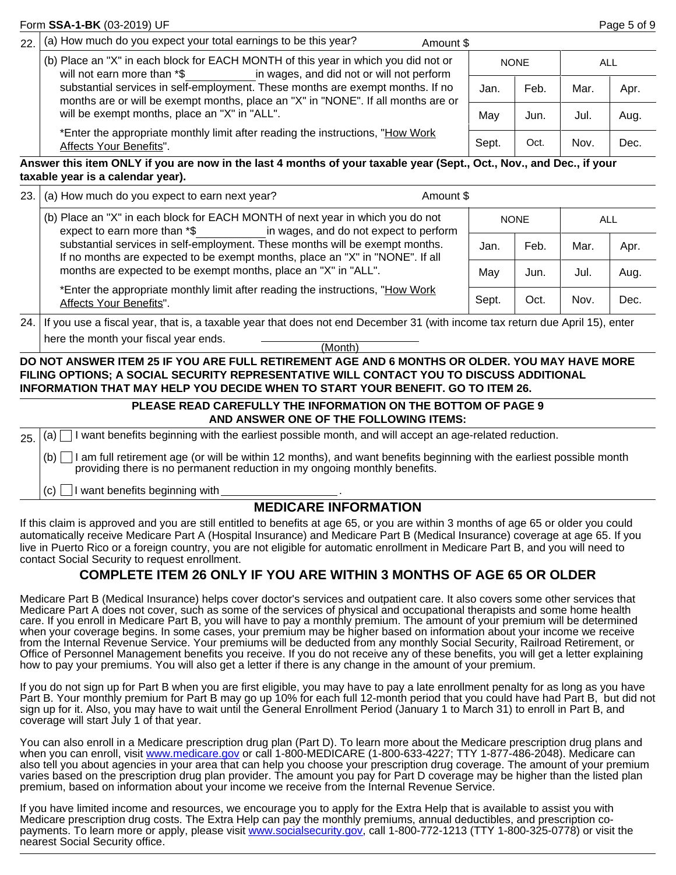| Form <b>SSA-1-BK</b> (03-2019) UF |
|-----------------------------------|
|-----------------------------------|

|     | Form SSA-1-BK (03-2019) UF                                                                                                                                                                                                                                                  |             |             |            | Page 5 of 9 |
|-----|-----------------------------------------------------------------------------------------------------------------------------------------------------------------------------------------------------------------------------------------------------------------------------|-------------|-------------|------------|-------------|
| 22. | (a) How much do you expect your total earnings to be this year?<br>Amount \$                                                                                                                                                                                                |             |             |            |             |
|     | (b) Place an "X" in each block for EACH MONTH of this year in which you did not or<br>in wages, and did not or will not perform<br>will not earn more than *\$                                                                                                              | <b>NONE</b> |             |            | <b>ALL</b>  |
|     | substantial services in self-employment. These months are exempt months. If no<br>months are or will be exempt months, place an "X" in "NONE". If all months are or                                                                                                         | Jan.        | Feb.        | Mar.       | Apr.        |
|     | will be exempt months, place an "X" in "ALL".                                                                                                                                                                                                                               | May         | Jun.        | Jul.       | Aug.        |
|     | *Enter the appropriate monthly limit after reading the instructions, "How Work<br>Affects Your Benefits".                                                                                                                                                                   | Sept.       | Oct.        | Nov.       | Dec.        |
|     | Answer this item ONLY if you are now in the last 4 months of your taxable year (Sept., Oct., Nov., and Dec., if your<br>taxable year is a calendar year).                                                                                                                   |             |             |            |             |
| 23. | (a) How much do you expect to earn next year?<br>Amount \$                                                                                                                                                                                                                  |             |             |            |             |
|     | (b) Place an "X" in each block for EACH MONTH of next year in which you do not<br>in wages, and do not expect to perform<br>expect to earn more than *\$                                                                                                                    |             | <b>NONE</b> | <b>ALL</b> |             |
|     | substantial services in self-employment. These months will be exempt months.<br>If no months are expected to be exempt months, place an "X" in "NONE". If all<br>months are expected to be exempt months, place an "X" in "ALL".                                            |             | Feb.        | Mar.       | Apr.        |
|     |                                                                                                                                                                                                                                                                             |             | Jun.        | Jul.       | Aug.        |
|     | *Enter the appropriate monthly limit after reading the instructions, "How Work<br>Affects Your Benefits".                                                                                                                                                                   | Sept.       | Oct.        | Nov.       | Dec.        |
| 24. | If you use a fiscal year, that is, a taxable year that does not end December 31 (with income tax return due April 15), enter                                                                                                                                                |             |             |            |             |
|     | here the month your fiscal year ends.<br>(Month)                                                                                                                                                                                                                            |             |             |            |             |
|     | DO NOT ANSWER ITEM 25 IF YOU ARE FULL RETIREMENT AGE AND 6 MONTHS OR OLDER. YOU MAY HAVE MORE<br>FILING OPTIONS; A SOCIAL SECURITY REPRESENTATIVE WILL CONTACT YOU TO DISCUSS ADDITIONAL<br>INFORMATION THAT MAY HELP YOU DECIDE WHEN TO START YOUR BENEFIT. GO TO ITEM 26. |             |             |            |             |
|     | PLEASE READ CAREFULLY THE INFORMATION ON THE BOTTOM OF PAGE 9<br>AND ANSWER ONE OF THE FOLLOWING ITEMS:                                                                                                                                                                     |             |             |            |             |
| 25. | I want benefits beginning with the earliest possible month, and will accept an age-related reduction.<br>(a)                                                                                                                                                                |             |             |            |             |
|     | (b)   I am full retirement age (or will be within 12 months), and want benefits beginning with the earliest possible month<br>providing there is no permanent reduction in my ongoing monthly benefits.                                                                     |             |             |            |             |
|     | $(c)$   want benefits beginning with                                                                                                                                                                                                                                        |             |             |            |             |
|     | <b>MEDICARE INFORMATION</b>                                                                                                                                                                                                                                                 |             |             |            |             |
|     | If this claim is approved and you are still entitled to benefits at age 65, or you are within 3 months of age 65 or older you could                                                                                                                                         |             |             |            |             |

automatically receive Medicare Part A (Hospital Insurance) and Medicare Part B (Medical Insurance) coverage at age 65. If you live in Puerto Rico or a foreign country, you are not eligible for automatic enrollment in Medicare Part B, and you will need to contact Social Security to request enrollment.

## **COMPLETE ITEM 26 ONLY IF YOU ARE WITHIN 3 MONTHS OF AGE 65 OR OLDER**

Medicare Part B (Medical Insurance) helps cover doctor's services and outpatient care. It also covers some other services that Medicare Part A does not cover, such as some of the services of physical and occupational therapists and some home health care. If you enroll in Medicare Part B, you will have to pay a monthly premium. The amount of your premium will be determined when your coverage begins. In some cases, your premium may be higher based on information about your income we receive from the Internal Revenue Service. Your premiums will be deducted from any monthly Social Security, Railroad Retirement, or Office of Personnel Management benefits you receive. If you do not receive any of these benefits, you will get a letter explaining how to pay your premiums. You will also get a letter if there is any change in the amount of your premium.

If you do not sign up for Part B when you are first eligible, you may have to pay a late enrollment penalty for as long as you have Part B. Your monthly premium for Part B may go up 10% for each full 12-month period that you could have had Part B, but did not sign up for it. Also, you may have to wait until the General Enrollment Period (January 1 to March 31) to enroll in Part B, and coverage will start July 1 of that year.

You can also enroll in a Medicare prescription drug plan (Part D). To learn more about the Medicare prescription drug plans and when you can enroll, visit <u>www.medicare.gov</u> or call 1-800-MEDICARE (1-800-633-4227; TTY 1-877-486-2048). Medicare can also tell you about agencies in your area that can help you choose your prescription drug coverage. The amount of your premium varies based on the prescription drug plan provider. The amount you pay for Part D coverage may be higher than the listed plan premium, based on information about your income we receive from the Internal Revenue Service.

If you have limited income and resources, we encourage you to apply for the Extra Help that is available to assist you with Medicare prescription drug costs. The Extra Help can pay the monthly premiums, annual deductibles, and prescription copayments. To learn more or apply, please visit www.socialsecurity.gov, call 1-800-772-1213 (TTY 1-800-325-0778) or visit the nearest Social Security office.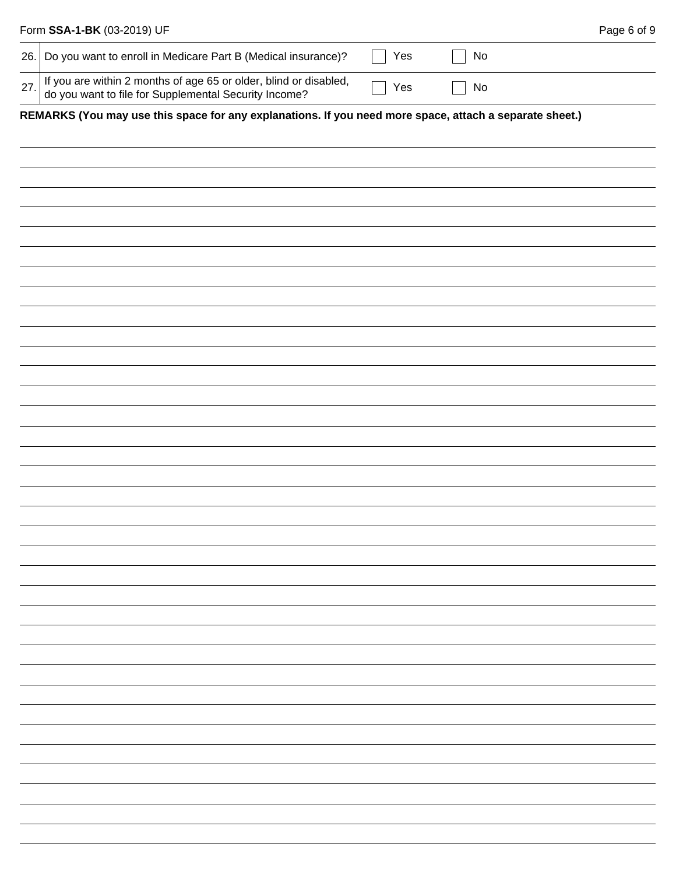|     | Form SSA-1-BK (03-2019) UF                                                                                                 |     |    | Page 6 of 9 |
|-----|----------------------------------------------------------------------------------------------------------------------------|-----|----|-------------|
| 26. | Do you want to enroll in Medicare Part B (Medical insurance)?                                                              | Yes | No |             |
| 27. | If you are within 2 months of age 65 or older, blind or disabled,<br>do you want to file for Supplemental Security Income? | Yes | No |             |
|     | REMARKS (You may use this space for any explanations. If you need more space, attach a separate sheet.)                    |     |    |             |
|     |                                                                                                                            |     |    |             |
|     |                                                                                                                            |     |    |             |
|     |                                                                                                                            |     |    |             |
|     |                                                                                                                            |     |    |             |
|     |                                                                                                                            |     |    |             |
|     |                                                                                                                            |     |    |             |
|     |                                                                                                                            |     |    |             |
|     |                                                                                                                            |     |    |             |
|     |                                                                                                                            |     |    |             |
|     |                                                                                                                            |     |    |             |
|     |                                                                                                                            |     |    |             |
|     |                                                                                                                            |     |    |             |
|     |                                                                                                                            |     |    |             |
|     |                                                                                                                            |     |    |             |
|     |                                                                                                                            |     |    |             |
|     |                                                                                                                            |     |    |             |
|     |                                                                                                                            |     |    |             |
|     |                                                                                                                            |     |    |             |
|     |                                                                                                                            |     |    |             |
|     |                                                                                                                            |     |    |             |
|     |                                                                                                                            |     |    |             |
|     |                                                                                                                            |     |    |             |
|     |                                                                                                                            |     |    |             |
|     |                                                                                                                            |     |    |             |
|     |                                                                                                                            |     |    |             |
|     |                                                                                                                            |     |    |             |
|     |                                                                                                                            |     |    |             |
|     |                                                                                                                            |     |    |             |
|     |                                                                                                                            |     |    |             |
|     |                                                                                                                            |     |    |             |
|     |                                                                                                                            |     |    |             |
|     |                                                                                                                            |     |    |             |
|     |                                                                                                                            |     |    |             |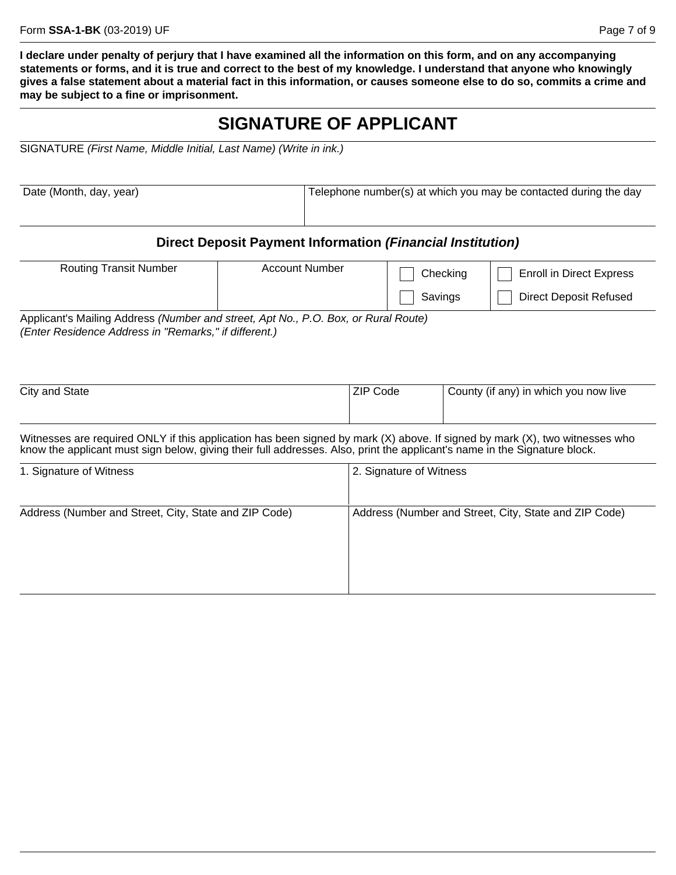**I declare under penalty of perjury that I have examined all the information on this form, and on any accompanying statements or forms, and it is true and correct to the best of my knowledge. I understand that anyone who knowingly gives a false statement about a material fact in this information, or causes someone else to do so, commits a crime and may be subject to a fine or imprisonment.**

# **SIGNATURE OF APPLICANT**

SIGNATURE *(First Name, Middle Initial, Last Name) (Write in ink.)*

| Date (Month, day, year) | Telephone number(s) at which you may be contacted during the day |
|-------------------------|------------------------------------------------------------------|
|                         |                                                                  |

## **Direct Deposit Payment Information** *(Financial Institution)*

| <b>Routing Transit Number</b>                                                        | <b>Account Number</b> | Checking | <b>Enroll in Direct Express</b> |
|--------------------------------------------------------------------------------------|-----------------------|----------|---------------------------------|
|                                                                                      |                       | Savings  | <b>Direct Deposit Refused</b>   |
| Applicant's Mailing Address (Number and street Ant No. $P \cap R$ ox or Rural Route) |                       |          |                                 |

Applicant's Mailing Address *(Number and street, Apt No., P.O. Box, or Rural Route) (Enter Residence Address in "Remarks," if different.)*

| City and State | ZIP Code | County (if any) in which you now live |
|----------------|----------|---------------------------------------|
|                |          |                                       |

Witnesses are required ONLY if this application has been signed by mark (X) above. If signed by mark (X), two witnesses who know the applicant must sign below, giving their full addresses. Also, print the applicant's name in the Signature block.

| 1. Signature of Witness                               | 2. Signature of Witness                               |
|-------------------------------------------------------|-------------------------------------------------------|
|                                                       |                                                       |
| Address (Number and Street, City, State and ZIP Code) | Address (Number and Street, City, State and ZIP Code) |
|                                                       |                                                       |
|                                                       |                                                       |
|                                                       |                                                       |
|                                                       |                                                       |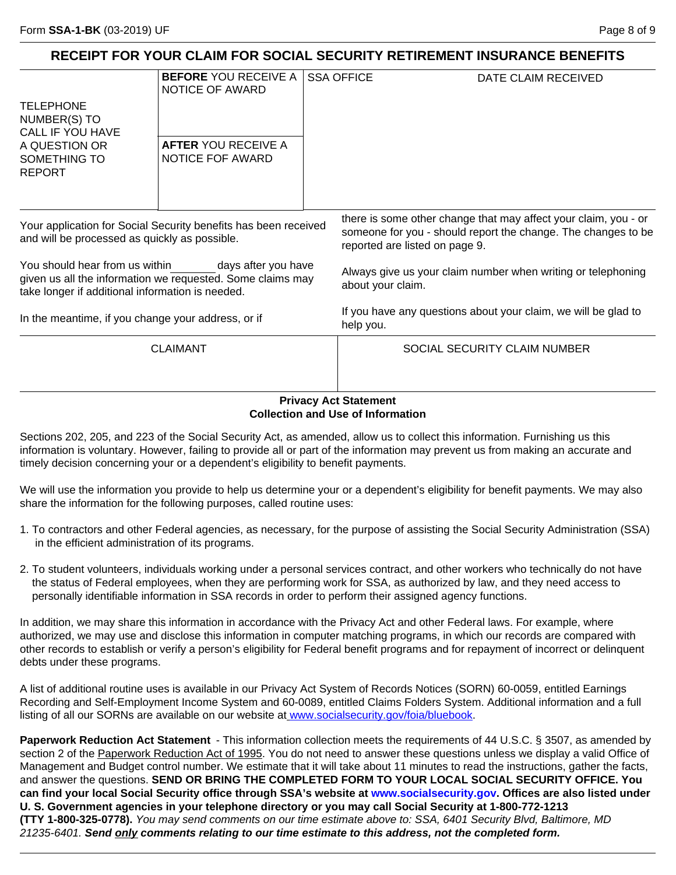# **RECEIPT FOR YOUR CLAIM FOR SOCIAL SECURITY RETIREMENT INSURANCE BENEFITS**

|                                                                                                                                                                         | <b>BEFORE YOU RECEIVE A</b>                                       | <b>SSA OFFICE</b>                         | DATE CLAIM RECEIVED                                                                                                                                                |
|-------------------------------------------------------------------------------------------------------------------------------------------------------------------------|-------------------------------------------------------------------|-------------------------------------------|--------------------------------------------------------------------------------------------------------------------------------------------------------------------|
| <b>TELEPHONE</b><br>NUMBER(S) TO<br>CALL IF YOU HAVE<br>A QUESTION OR<br>SOMETHING TO<br><b>REPORT</b>                                                                  | NOTICE OF AWARD<br><b>AFTER YOU RECEIVE A</b><br>NOTICE FOF AWARD |                                           |                                                                                                                                                                    |
| Your application for Social Security benefits has been received<br>and will be processed as quickly as possible.                                                        |                                                                   |                                           | there is some other change that may affect your claim, you - or<br>someone for you - should report the change. The changes to be<br>reported are listed on page 9. |
| You should hear from us within<br>days after you have<br>given us all the information we requested. Some claims may<br>take longer if additional information is needed. |                                                                   |                                           | Always give us your claim number when writing or telephoning<br>about your claim.                                                                                  |
| In the meantime, if you change your address, or if                                                                                                                      |                                                                   | help you.                                 | If you have any questions about your claim, we will be glad to                                                                                                     |
| <b>CLAIMANT</b>                                                                                                                                                         |                                                                   |                                           | SOCIAL SECURITY CLAIM NUMBER                                                                                                                                       |
|                                                                                                                                                                         |                                                                   | $\sim$ $\sim$ $\sim$ $\sim$ $\sim$ $\sim$ |                                                                                                                                                                    |

### **Privacy Act Statement Collection and Use of Information**

Sections 202, 205, and 223 of the Social Security Act, as amended, allow us to collect this information. Furnishing us this information is voluntary. However, failing to provide all or part of the information may prevent us from making an accurate and timely decision concerning your or a dependent's eligibility to benefit payments.

We will use the information you provide to help us determine your or a dependent's eligibility for benefit payments. We may also share the information for the following purposes, called routine uses:

- 1. To contractors and other Federal agencies, as necessary, for the purpose of assisting the Social Security Administration (SSA) in the efficient administration of its programs.
- 2. To student volunteers, individuals working under a personal services contract, and other workers who technically do not have the status of Federal employees, when they are performing work for SSA, as authorized by law, and they need access to personally identifiable information in SSA records in order to perform their assigned agency functions.

In addition, we may share this information in accordance with the Privacy Act and other Federal laws. For example, where authorized, we may use and disclose this information in computer matching programs, in which our records are compared with other records to establish or verify a person's eligibility for Federal benefit programs and for repayment of incorrect or delinquent debts under these programs.

A list of additional routine uses is available in our Privacy Act System of Records Notices (SORN) 60-0059, entitled Earnings Recording and Self-Employment Income System and 60-0089, entitled Claims Folders System. Additional information and a full listing of all our SORNs are available on our website at www.socialsecurity.gov/foia/bluebook.

**Paperwork Reduction Act Statement** - This information collection meets the requirements of 44 U.S.C. § 3507, as amended by section 2 of the Paperwork Reduction Act of 1995. You do not need to answer these questions unless we display a valid Office of Management and Budget control number. We estimate that it will take about 11 minutes to read the instructions, gather the facts, and answer the questions. **SEND OR BRING THE COMPLETED FORM TO YOUR LOCAL SOCIAL SECURITY OFFICE. You can find your local Social Security office through SSA's website at www.socialsecurity.gov. Offices are also listed under U. S. Government agencies in your telephone directory or you may call Social Security at 1-800-772-1213 (TTY 1-800-325-0778).** *You may send comments on our time estimate above to: SSA, 6401 Security Blvd, Baltimore, MD 21235-6401. Send only comments relating to our time estimate to this address, not the completed form.*